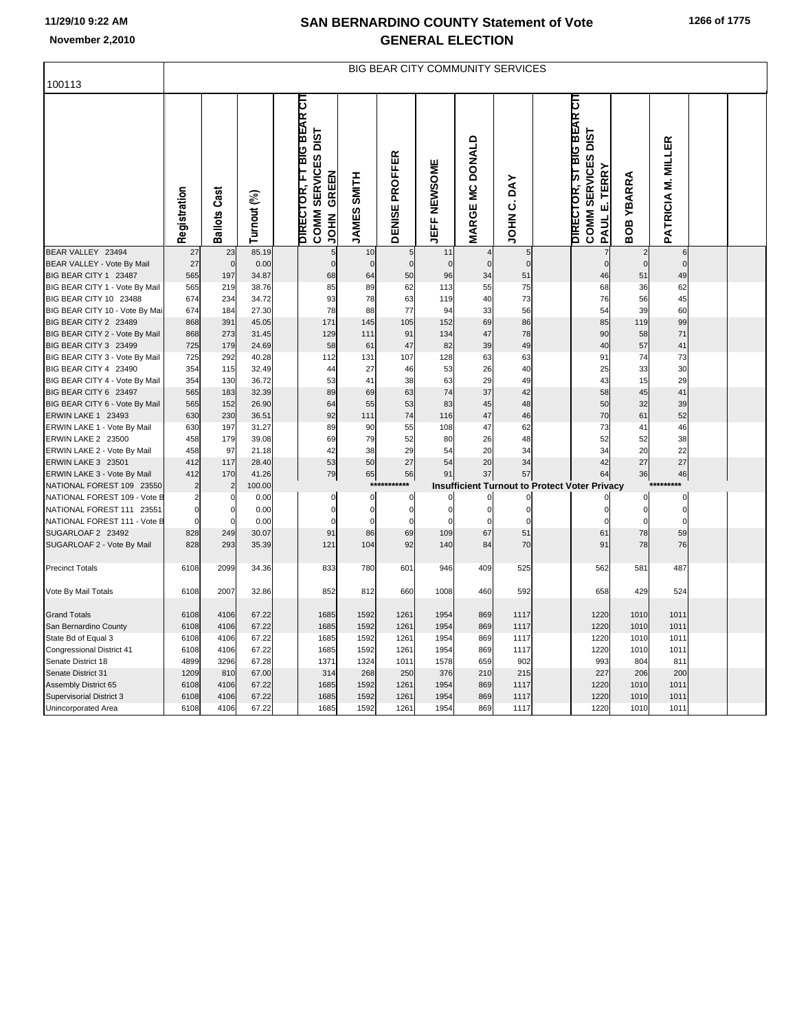## **11/29/10 9:22 AM**

ı,

## **SAN BERNARDINO COUNTY Statement of Vote November 2,2010 GENERAL ELECTION**

|                                | <b>BIG BEAR CITY COMMUNITY SERVICES</b> |                     |             |  |                                                                                          |                              |                       |              |                        |                         |  |                                                                               |               |                    |  |  |
|--------------------------------|-----------------------------------------|---------------------|-------------|--|------------------------------------------------------------------------------------------|------------------------------|-----------------------|--------------|------------------------|-------------------------|--|-------------------------------------------------------------------------------|---------------|--------------------|--|--|
| 100113                         |                                         |                     |             |  |                                                                                          |                              |                       |              |                        |                         |  |                                                                               |               |                    |  |  |
|                                | Registration                            | <b>Ballots Cast</b> | Turnout (%) |  | <b>BIG BEAR CIT</b><br>COMM SERVICES DIST<br><b>DIRECTOR, FT</b><br>GREEN<br><b>NHOL</b> | <b>SMITH</b><br><b>JAMES</b> | <b>DENISE PROFFER</b> | JEFF NEWSOME | <b>MARGE MC DONALD</b> | DAY<br>ن<br><b>NHOL</b> |  | DIRECTOR, ST BIG BEAR CIT<br>COMM SERVICES DIST<br><b>TERRY</b><br>щi<br>PAUL | YBARRA<br>BOB | PATRICIA M. MILLER |  |  |
| BEAR VALLEY 23494              | 27                                      | 23                  | 85.19       |  | 5                                                                                        | 10                           |                       | 11           |                        | 5                       |  | $\overline{7}$                                                                |               |                    |  |  |
| BEAR VALLEY - Vote By Mail     | 27                                      | $\mathbf 0$         |             |  | $\pmb{0}$                                                                                | $\mathbf 0$                  |                       | $\mathbf 0$  | $\mathbf 0$            | $\mathbf 0$             |  |                                                                               | $\mathbf 0$   | $\mathbf 0$        |  |  |
|                                |                                         |                     | 0.00        |  |                                                                                          |                              | $\mathbf 0$           |              |                        |                         |  | $\mathbf 0$                                                                   |               |                    |  |  |
| BIG BEAR CITY 1 23487          | 565                                     | 197                 | 34.87       |  | 68                                                                                       | 64                           | 50                    | 96           | 34                     | 51                      |  | 46                                                                            | 51            | 49                 |  |  |
| BIG BEAR CITY 1 - Vote By Mail | 565                                     | 219                 | 38.76       |  | 85                                                                                       | 89                           | 62                    | 113          | 55                     | 75                      |  | 68                                                                            | 36            | 62                 |  |  |
| BIG BEAR CITY 10 23488         | 674                                     | 234                 | 34.72       |  | 93                                                                                       | 78                           | 63                    | 119          | 40                     | 73                      |  | 76                                                                            | 56            | 45                 |  |  |
| BIG BEAR CITY 10 - Vote By Mai | 674                                     | 184                 | 27.30       |  | 78                                                                                       | 88                           | 77                    | 94           | 33                     | 56                      |  | 54                                                                            | 39            | 60                 |  |  |
| BIG BEAR CITY 2 23489          | 868                                     | 391                 | 45.05       |  | 171                                                                                      | 145                          | 105                   | 152          | 69                     | 86                      |  | 85                                                                            | 119           | 99                 |  |  |
| BIG BEAR CITY 2 - Vote By Mail | 868                                     | 273                 | 31.45       |  | 129                                                                                      | 111                          | 91                    | 134          | 47                     | 78                      |  | 90                                                                            | 58            | 71                 |  |  |
| BIG BEAR CITY 3 23499          | 725                                     | 179                 | 24.69       |  | 58                                                                                       | 61                           | 47                    | 82           | 39                     | 49                      |  | 40                                                                            | 57            | 41                 |  |  |
| BIG BEAR CITY 3 - Vote By Mail | 725                                     | 292                 | 40.28       |  | 112                                                                                      | 131                          | 107                   | 128          | 63                     | 63                      |  | 91                                                                            | 74            | 73                 |  |  |
| BIG BEAR CITY 4 23490          | 354                                     | 115                 | 32.49       |  | 44                                                                                       | 27                           | 46                    | 53           | 26                     | 40                      |  | 25                                                                            | 33            | 30                 |  |  |
| BIG BEAR CITY 4 - Vote By Mail | 354                                     | 130                 | 36.72       |  | 53                                                                                       | 41                           | 38                    | 63           | 29                     | 49                      |  | 43                                                                            | 15            | 29                 |  |  |
| BIG BEAR CITY 6 23497          | 565                                     | 183                 | 32.39       |  | 89                                                                                       | 69                           | 63                    | 74           | 37                     | 42                      |  | 58                                                                            | 45            | 41                 |  |  |
| BIG BEAR CITY 6 - Vote By Mail | 565                                     | 152                 | 26.90       |  | 64                                                                                       | 55                           | 53                    | 83           | 45                     | 48                      |  | 50                                                                            | 32            | 39                 |  |  |
| ERWIN LAKE 1 23493             | 630                                     | 230                 | 36.51       |  | 92                                                                                       | 111                          | 74                    | 116          | 47                     | 46                      |  | 70                                                                            | 61            | 52                 |  |  |
| ERWIN LAKE 1 - Vote By Mail    | 630                                     | 197                 | 31.27       |  | 89                                                                                       | 90                           | 55                    | 108          | 47                     | 62                      |  | 73                                                                            | 41            | 46                 |  |  |
| ERWIN LAKE 2 23500             | 458                                     | 179                 | 39.08       |  | 69                                                                                       | 79                           | 52                    | 80           | 26                     | 48                      |  | 52                                                                            | 52            | 38                 |  |  |
| ERWIN LAKE 2 - Vote By Mail    | 458                                     | 97                  | 21.18       |  | 42                                                                                       | 38                           | 29                    | 54           | 20                     | 34                      |  | 34                                                                            | 20            | 22                 |  |  |
| ERWIN LAKE 3 23501             | 412                                     | 117                 | 28.40       |  | 53                                                                                       | 50                           | 27                    | 54           | 20                     | 34                      |  | 42                                                                            | 27            | 27                 |  |  |
| ERWIN LAKE 3 - Vote By Mail    | 412                                     | 170                 | 41.26       |  | 79                                                                                       | 65                           | 56                    | 91           | 37                     | 57                      |  | 64                                                                            | 36            | 46                 |  |  |
| NATIONAL FOREST 109 23550      |                                         | $\overline{2}$      | 100.00      |  |                                                                                          | $***$                        | $***$                 |              |                        |                         |  | <b>Insufficient Turnout to Protect Voter Privacy</b>                          |               | ******<br>$**$     |  |  |
| NATIONAL FOREST 109 - Vote B   | 2                                       | $\Omega$            | 0.00        |  | 0                                                                                        | $\pmb{0}$                    | $\Omega$              |              |                        |                         |  |                                                                               | 0             | $\Omega$           |  |  |
| NATIONAL FOREST 111 23551      | $\overline{0}$                          | 0                   | 0.00        |  | $\mathbf 0$                                                                              | $\mathbf 0$                  | $\mathbf 0$           | $\Omega$     | $\mathbf 0$            | $\mathbf 0$             |  | 0                                                                             | 0             | $\mathbf 0$        |  |  |
| NATIONAL FOREST 111 - Vote B   |                                         | $\Omega$            | 0.00        |  | $\Omega$                                                                                 | $\Omega$                     | $\Omega$              |              | $\Omega$               |                         |  |                                                                               | $\Omega$      | $\Omega$           |  |  |
| SUGARLOAF 2 23492              | 828                                     | 249                 | 30.07       |  | 91                                                                                       | 86                           | 69                    | 109          | 67                     | 51                      |  | 61                                                                            | 78            | 59                 |  |  |
| SUGARLOAF 2 - Vote By Mail     | 828                                     | 293                 | 35.39       |  | 121                                                                                      | 104                          | 92                    | 140          | 84                     | 70                      |  | 91                                                                            | 78            | 76                 |  |  |
| <b>Precinct Totals</b>         | 6108                                    | 2099                | 34.36       |  | 833                                                                                      | 780                          | 601                   | 946          | 409                    | 525                     |  | 562                                                                           | 581           | 487                |  |  |
| Vote By Mail Totals            | 6108                                    | 2007                | 32.86       |  | 852                                                                                      | 812                          | 660                   | 1008         | 460                    | 592                     |  | 658                                                                           | 429           | 524                |  |  |
| <b>Grand Totals</b>            | 6108                                    | 4106                | 67.22       |  | 1685                                                                                     | 1592                         | 1261                  | 1954         | 869                    | 1117                    |  | 1220                                                                          | 1010          | 1011               |  |  |
| San Bernardino County          | 6108                                    | 4106                | 67.22       |  | 1685                                                                                     | 1592                         | 1261                  | 1954         | 869                    | 1117                    |  | 1220                                                                          | 1010          | 1011               |  |  |
| State Bd of Equal 3            | 6108                                    | 4106                | 67.22       |  | 1685                                                                                     | 1592                         | 1261                  | 1954         | 869                    | 1117                    |  | 1220                                                                          | 1010          | 1011               |  |  |
| Congressional District 41      | 6108                                    | 4106                | 67.22       |  | 1685                                                                                     | 1592                         | 1261                  | 1954         | 869                    | 1117                    |  | 1220                                                                          | 1010          | 1011               |  |  |
| Senate District 18             | 4899                                    | 3296                | 67.28       |  | 1371                                                                                     | 1324                         | 1011                  | 1578         | 659                    | 902                     |  | 993                                                                           | 804           | 811                |  |  |
| Senate District 31             | 1209                                    | 810                 | 67.00       |  | 314                                                                                      | 268                          | 250                   | 376          | 210                    | 215                     |  | 227                                                                           | 206           | 200                |  |  |
| Assembly District 65           | 6108                                    | 4106                | 67.22       |  | 1685                                                                                     | 1592                         | 1261                  | 1954         | 869                    | 1117                    |  | 1220                                                                          | 1010          | 1011               |  |  |
| Supervisorial District 3       | 6108                                    | 4106                | 67.22       |  | 1685                                                                                     | 1592                         | 1261                  | 1954         | 869                    | 1117                    |  | 1220                                                                          | 1010          | 1011               |  |  |
| <b>Unincorporated Area</b>     | 6108                                    | 4106                | 67.22       |  | 1685                                                                                     | 1592                         | 1261                  | 1954         | 869                    | 1117                    |  | 1220                                                                          | 1010          | 1011               |  |  |